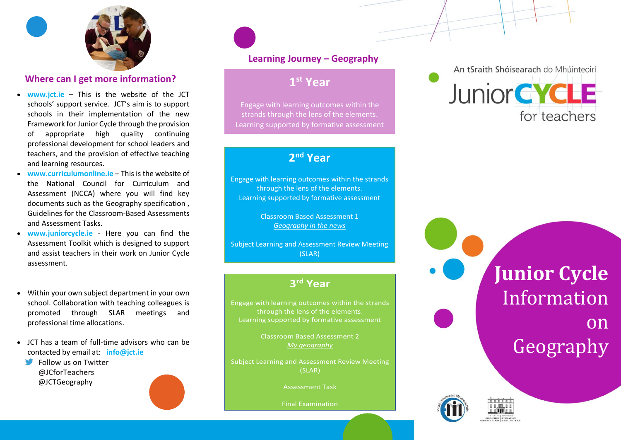

## **Where can I get more information?**

- **www.jct.ie** This is the website of the JCT schools' support service. JCT's aim is to support schools in their implementation of the new Framework for Junior Cycle through the provision of appropriate high quality continuing professional development for school leaders and teachers, and the provision of effective teaching and learning resources.
- **www.curriculumonline.ie** This is the website of the National Council for Curriculum and Assessment (NCCA) where you will find key documents such as the Geography specification , Guidelines for the Classroom-Based Assessments and Assessment Tasks.
- **www.juniorcycle.ie** Here you can find the Assessment Toolkit which is designed to support and assist teachers in their work on Junior Cycle assessment.
- Within your own subject department in your own school. Collaboration with teaching colleagues is promoted through SLAR meetings and professional time allocations.
- JCT has a team of full-time advisors who can be contacted by email at: **info@jct.ie**
	- Follow us on Twitter @JCforTeachers @JCTGeography



# **Learning Journey – Geography**

# **1 st Year**

Engage with learning outcomes within the strands through the lens of the elements. Learning supported by formative assessment

# **2 nd Year**

Engage with learning outcomes within the strands through the lens of the elements. Learning supported by formative assessment

> Classroom Based Assessment 1 *Geography in the news*

Subject Learning and Assessment Review Meeting (SLAR)

# **3 rd Year**

Engage with learning outcomes within the strands through the lens of the elements. Learning supported by formative assessment

> Classroom Based Assessment 2 *My geography*

Subject Learning and Assessment Review Meeting (SLAR)

Assessment Task

Final Examination

An tSraith Shóisearach do Mhúinteoirí



**Junior Cycle** Information on Geography

Quick

Guide

Reference